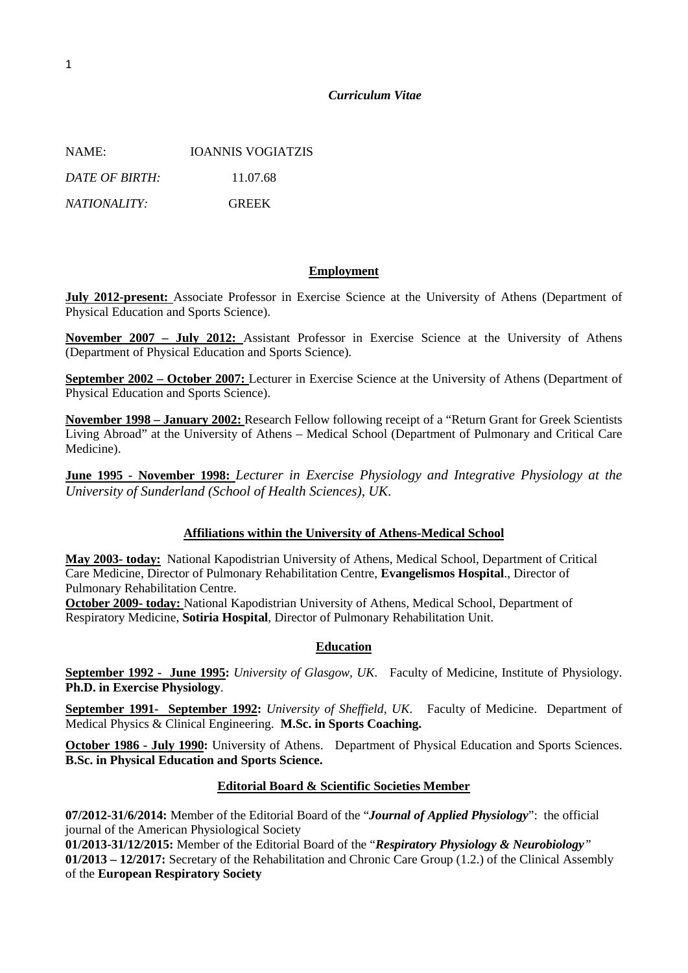## *Curriculum Vitae*

NAME: IOANNIS VOGIATZIS *DATE OF BIRTH:* 11.07.68 *NATIONALITY:* GREEK

## **Employment**

**July 2012-present:** Associate Professor in Exercise Science at the University of Athens (Department of Physical Education and Sports Science).

**November 2007 – July 2012:** Assistant Professor in Exercise Science at the University of Athens (Department of Physical Education and Sports Science).

**September 2002 – October 2007:** Lecturer in Exercise Science at the University of Athens (Department of Physical Education and Sports Science).

**November 1998 – January 2002:** Research Fellow following receipt of a "Return Grant for Greek Scientists Living Abroad" at the University of Athens – Medical School (Department of Pulmonary and Critical Care Medicine).

**June 1995 - November 1998:** *Lecturer in Exercise Physiology and Integrative Physiology at the University of Sunderland (School of Health Sciences), UK*.

## **Affiliations within the University of Athens-Medical School**

**May 2003- today:** National Kapodistrian University of Athens, Medical School, Department of Critical Care Medicine, Director of Pulmonary Rehabilitation Centre, **Evangelismos Hospital**., Director of Pulmonary Rehabilitation Centre.

**October 2009- today:** National Kapodistrian University of Athens, Medical School, Department of Respiratory Medicine, **Sotiria Hospital**, Director of Pulmonary Rehabilitation Unit.

## **Education**

**September 1992 - June 1995:** *University of Glasgow, UK*. Faculty of Medicine, Institute of Physiology. **Ph.D. in Exercise Physiology**.

**September 1991- September 1992:** *University of Sheffield, UK*. Faculty of Medicine. Department of Medical Physics & Clinical Engineering. **M.Sc. in Sports Coaching.**

**October 1986 - July 1990:** University of Athens. Department of Physical Education and Sports Sciences. **B.Sc. in Physical Education and Sports Science.**

## **Editorial Board & Scientific Societies Member**

**07/2012-31/6/2014:** Member of the Editorial Board of the "*Journal of Applied Physiology*": the official journal of the American Physiological Society

**01/2013-31/12/2015:** Member of the Editorial Board of the "*Respiratory Physiology & Neurobiology"* **01/2013 – 12/2017:** Secretary of the Rehabilitation and Chronic Care Group (1.2.) of the Clinical Assembly of the **European Respiratory Society**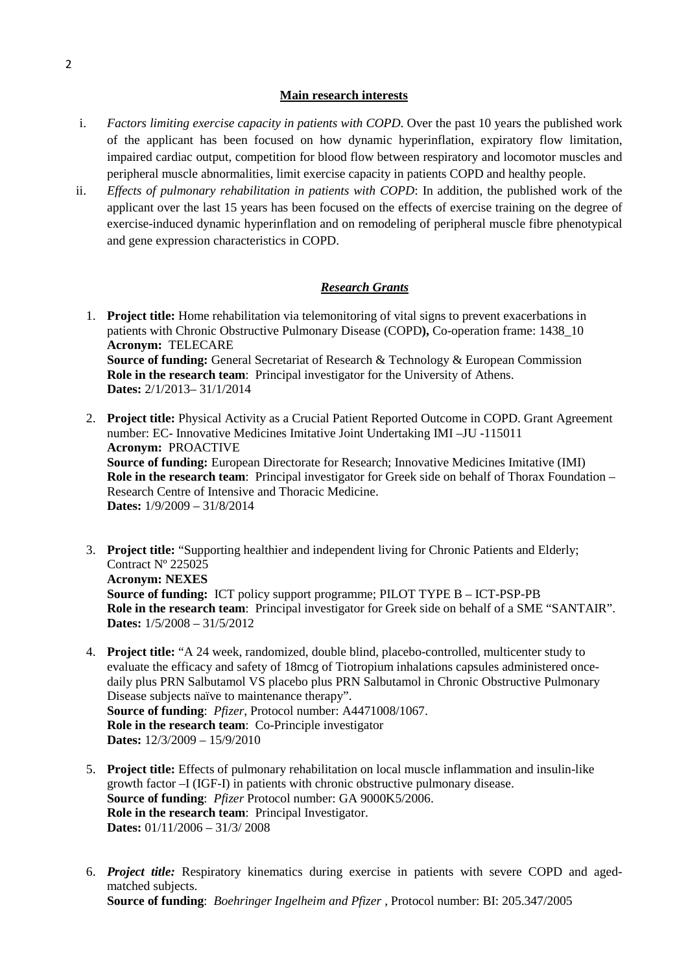## **Main research interests**

- i. *Factors limiting exercise capacity in patients with COPD*. Over the past 10 years the published work of the applicant has been focused on how dynamic hyperinflation, expiratory flow limitation, impaired cardiac output, competition for blood flow between respiratory and locomotor muscles and peripheral muscle abnormalities, limit exercise capacity in patients COPD and healthy people.
- ii. *Effects of pulmonary rehabilitation in patients with COPD*: In addition, the published work of the applicant over the last 15 years has been focused on the effects of exercise training on the degree of exercise-induced dynamic hyperinflation and on remodeling of peripheral muscle fibre phenotypical and gene expression characteristics in COPD.

# *Research Grants*

- 1. **Project title:** Home rehabilitation via telemonitoring of vital signs to prevent exacerbations in patients with Chronic Obstructive Pulmonary Disease (COPD**),** Co-operation frame: 1438\_10 **Acronym:** TELECARE **Source of funding:** General Secretariat of Research & Technology & European Commission **Role in the research team**: Principal investigator for the University of Athens. **Dates:** 2/1/2013– 31/1/2014
- 2. **Project title:** Physical Activity as a Crucial Patient Reported Outcome in COPD. Grant Agreement number: EC- Innovative Medicines Imitative Joint Undertaking IMI –JU -115011 **Acronym:** PROACTIVE **Source of funding:** European Directorate for Research; Innovative Medicines Imitative (IMI) **Role in the research team**: Principal investigator for Greek side on behalf of Thorax Foundation – Research Centre of Intensive and Thoracic Medicine. **Dates:** 1/9/2009 – 31/8/2014
- 3. **Project title:** "Supporting healthier and independent living for Chronic Patients and Elderly; Contract Nº 225025 **Acronym: NEXES Source of funding:** ICT policy support programme; PILOT TYPE B – ICT-PSP-PB **Role in the research team**: Principal investigator for Greek side on behalf of a SME "SANTAIR". **Dates:** 1/5/2008 – 31/5/2012
- 4. **Project title:** "A 24 week, randomized, double blind, placebo-controlled, multicenter study to evaluate the efficacy and safety of 18mcg of Tiotropium inhalations capsules administered oncedaily plus PRN Salbutamol VS placebo plus PRN Salbutamol in Chronic Obstructive Pulmonary Disease subjects naïve to maintenance therapy". **Source of funding**: *Pfizer*, Protocol number: A4471008/1067. **Role in the research team**: Co-Principle investigator **Dates:** 12/3/2009 – 15/9/2010
- 5. **Project title:** Effects of pulmonary rehabilitation on local muscle inflammation and insulin-like growth factor –I (IGF-I) in patients with chronic obstructive pulmonary disease. **Source of funding**: *Pfizer* Protocol number: GA 9000K5/2006. **Role in the research team**: Principal Investigator. **Dates:** 01/11/2006 – 31/3/ 2008
- 6. *Project title:* Respiratory kinematics during exercise in patients with severe COPD and agedmatched subjects. **Source of funding**: *Boehringer Ingelheim and Pfizer* , Protocol number: BI: 205.347/2005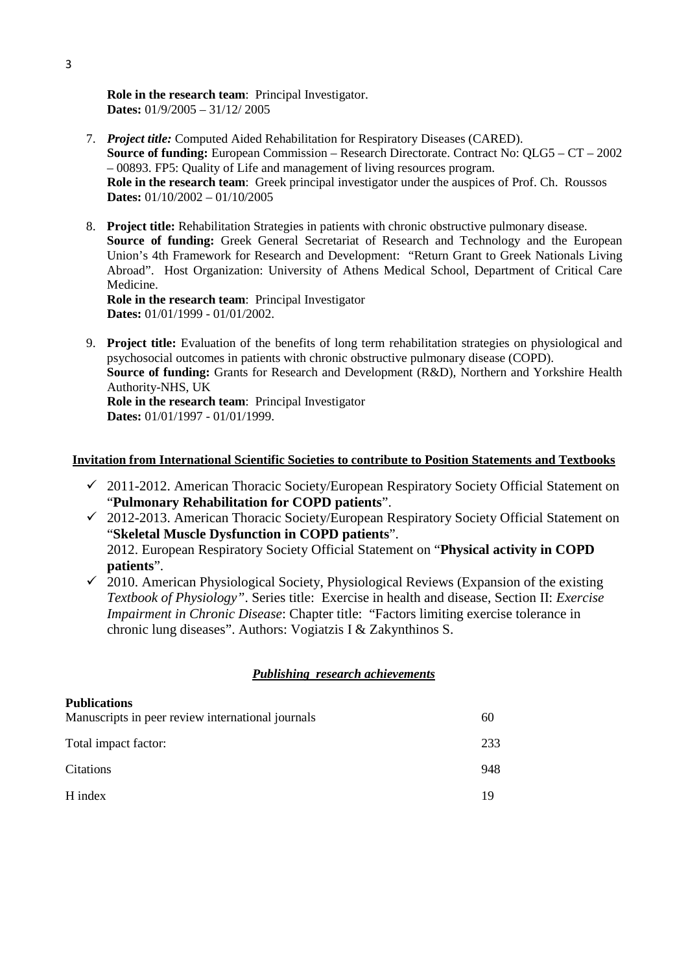**Role in the research team**: Principal Investigator. **Dates:** 01/9/2005 – 31/12/ 2005

- 7. *Project title:* Computed Aided Rehabilitation for Respiratory Diseases (CARED). **Source of funding:** European Commission – Research Directorate. Contract No: QLG5 – CT – 2002 – 00893. FP5: Quality of Life and management of living resources program. **Role in the research team**: Greek principal investigator under the auspices of Prof. Ch. Roussos **Dates:** 01/10/2002 – 01/10/2005
- 8. **Project title:** Rehabilitation Strategies in patients with chronic obstructive pulmonary disease. **Source of funding:** Greek General Secretariat of Research and Technology and the European Union's 4th Framework for Research and Development: "Return Grant to Greek Nationals Living Abroad". Host Organization: University of Athens Medical School, Department of Critical Care Medicine.

**Role in the research team:** Principal Investigator **Dates:** 01/01/1999 - 01/01/2002.

9. **Project title:** Evaluation of the benefits of long term rehabilitation strategies on physiological and psychosocial outcomes in patients with chronic obstructive pulmonary disease (COPD). **Source of funding:** Grants for Research and Development (R&D), Northern and Yorkshire Health Authority-NHS, UK **Role in the research team**: Principal Investigator **Dates:** 01/01/1997 - 01/01/1999.

# **Invitation from International Scientific Societies to contribute to Position Statements and Textbooks**

- $\checkmark$  2011-2012. American Thoracic Society/European Respiratory Society Official Statement on "**Pulmonary Rehabilitation for COPD patients**".
- 2012-2013. American Thoracic Society/European Respiratory Society Official Statement on "**Skeletal Muscle Dysfunction in COPD patients**". 2012. European Respiratory Society Official Statement on "**Physical activity in COPD patients**".
- $\checkmark$  2010. American Physiological Society, Physiological Reviews (Expansion of the existing *Textbook of Physiology"*. Series title: Exercise in health and disease, Section II: *Exercise Impairment in Chronic Disease*: Chapter title: "Factors limiting exercise tolerance in chronic lung diseases". Authors: Vogiatzis I & Zakynthinos S.

# *Publishing research achievements*

| <b>Publications</b>                               |     |
|---------------------------------------------------|-----|
| Manuscripts in peer review international journals | 60  |
| Total impact factor:                              | 233 |
| Citations                                         | 948 |
| H index                                           | 19  |
|                                                   |     |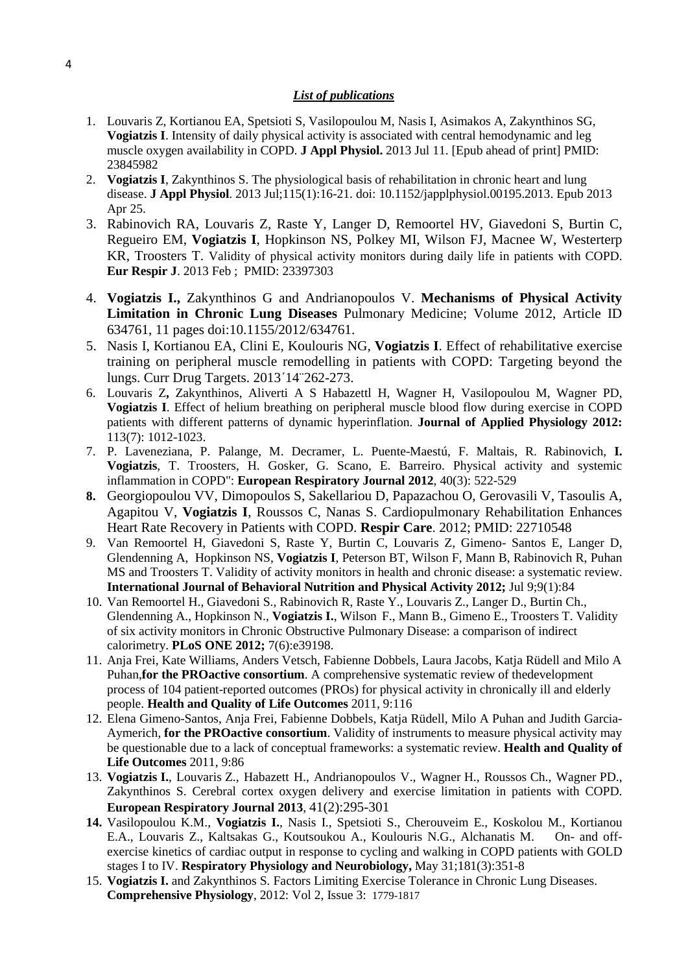## *List of publications*

- 1. Louvaris Z, Kortianou EA, Spetsioti S, Vasilopoulou M, Nasis I, Asimakos A, Zakynthinos SG, **Vogiatzis I**. [Intensity of daily physical activity is associated with central hemodynamic and leg](http://www.ncbi.nlm.nih.gov/pubmed/23845982)  [muscle oxygen availability in COPD.](http://www.ncbi.nlm.nih.gov/pubmed/23845982) **J Appl Physiol.** 2013 Jul 11. [Epub ahead of print] PMID: 23845982
- 2. **Vogiatzis I**, Zakynthinos S. [The physiological basis of rehabilitation in chronic heart and lung](http://www.ncbi.nlm.nih.gov/pubmed/23620491)  [disease.](http://www.ncbi.nlm.nih.gov/pubmed/23620491) **J Appl Physiol**. 2013 Jul;115(1):16-21. doi: 10.1152/japplphysiol.00195.2013. Epub 2013 Apr 25.
- 3. Rabinovich RA, Louvaris Z, Raste Y, Langer D, Remoortel HV, Giavedoni S, Burtin C, Regueiro EM, **Vogiatzis I**, Hopkinson NS, Polkey MI, Wilson FJ, Macnee W, Westerterp KR, Troosters T. Validity of physical activity monitors during daily life in patients with COPD. **Eur Respir J**. 2013 Feb ; PMID: 23397303
- 4. **Vogiatzis I.,** Zakynthinos G and Andrianopoulos V. **Mechanisms of Physical Activity Limitation in Chronic Lung Diseases** Pulmonary Medicine; Volume 2012, Article ID 634761, 11 pages doi:10.1155/2012/634761.
- 5. Nasis I, Kortianou EA, Clini E, Koulouris NG, **Vogiatzis I**. [Effect of rehabilitative exercise](http://www.ncbi.nlm.nih.gov/pubmed/23256723)  [training on peripheral muscle remodelling in patients with COPD: Targeting beyond the](http://www.ncbi.nlm.nih.gov/pubmed/23256723)  [lungs.](http://www.ncbi.nlm.nih.gov/pubmed/23256723) Curr Drug Targets. 2013΄14¨262-273.
- 6. Louvaris Z**,** Zakynthinos, Aliverti A S Habazettl H, Wagner H, Vasilopoulou M, Wagner PD, **Vogiatzis I**. Effect of helium breathing on peripheral muscle blood flow during exercise in COPD patients with different patterns of dynamic hyperinflation. **Journal of Applied Physiology 2012:**  113(7): 1012-1023.
- 7. P. Laveneziana, P. Palange, M. Decramer, L. Puente-Maestú, F. Maltais, R. Rabinovich, **I. Vogiatzis**, T. Troosters, H. Gosker, G. Scano, E. Barreiro. Physical activity and systemic inflammation in COPD": **European Respiratory Journal 2012**, 40(3): 522-529
- **8.** Georgiopoulou VV, Dimopoulos S, Sakellariou D, Papazachou O, Gerovasili V, Tasoulis A, Agapitou V, **Vogiatzis I**, Roussos C, Nanas S. [Cardiopulmonary Rehabilitation Enhances](http://www.ncbi.nlm.nih.gov/pubmed/22710548)  [Heart Rate Recovery in Patients with COPD.](http://www.ncbi.nlm.nih.gov/pubmed/22710548) **Respir Care**. 2012; PMID: 22710548
- 9. Van Remoortel H, Giavedoni S, Raste Y, Burtin C, Louvaris Z, Gimeno- Santos E, Langer D, Glendenning A, Hopkinson NS, **Vogiatzis I**, Peterson BT, Wilson F, Mann B, Rabinovich R, Puhan MS and Troosters T. Validity of activity monitors in health and chronic disease: a systematic review. **International Journal of Behavioral Nutrition and Physical Activity 2012;** Jul 9;9(1):84
- 10. Van Remoortel H., Giavedoni S., Rabinovich R, Raste Y., Louvaris Z., Langer D., Burtin Ch., Glendenning A., Hopkinson N., **Vogiatzis I.**, Wilson F., Mann B., Gimeno E., Troosters T. Validity of six activity monitors in Chronic Obstructive Pulmonary Disease: a comparison of indirect calorimetry. **PLoS ONE 2012;** 7(6):e39198.
- 11. Anja Frei, Kate Williams, Anders Vetsch, Fabienne Dobbels, Laura Jacobs, Katja Rüdell and Milo A Puhan,**for the PROactive consortium**. A comprehensive systematic review of thedevelopment process of 104 patient-reported outcomes (PROs) for physical activity in chronically ill and elderly people. **Health and Quality of Life Outcomes** 2011, 9:116
- 12. Elena Gimeno-Santos, Anja Frei, Fabienne Dobbels, Katja Rüdell, Milo A Puhan and Judith Garcia-Aymerich, **for the PROactive consortium**. Validity of instruments to measure physical activity may be questionable due to a lack of conceptual frameworks: a systematic review. **Health and Quality of Life Outcomes** 2011, 9:86
- 13. **Vogiatzis I.**, Louvaris Z., Habazett H., Andrianopoulos V., Wagner H., Roussos Ch., Wagner PD., Zakynthinos S. Cerebral cortex oxygen delivery and exercise limitation in patients with COPD. **European Respiratory Journal 2013**, 41(2):295-301
- **14.** Vasilopoulou K.M., **Vogiatzis I.**, Nasis I., Spetsioti S., Cherouveim E., Koskolou M., Kortianou E.A., Louvaris Z., Kaltsakas G., Koutsoukou A., Koulouris N.G., Alchanatis M. On- and offexercise kinetics of cardiac output in response to cycling and walking in COPD patients with GOLD stages I to IV. **Respiratory Physiology and Neurobiology,** May 31;181(3):351-8
- 15. **Vogiatzis I.** and Zakynthinos S*.* Factors Limiting Exercise Tolerance in Chronic Lung Diseases. **Comprehensive Physiology**, 2012: Vol 2, Issue 3: 1779-1817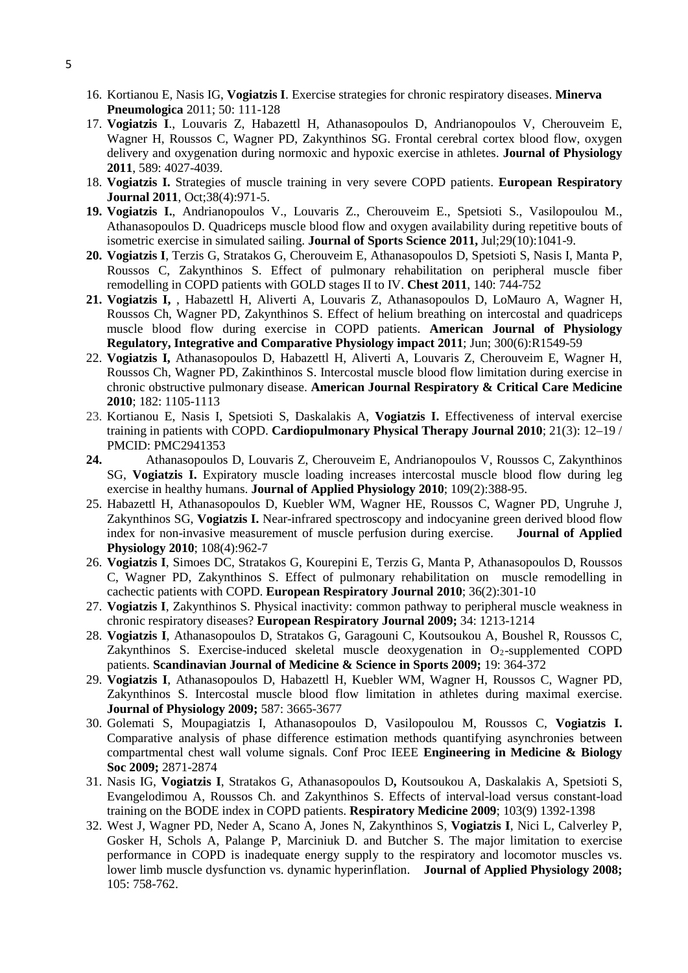- 16. Kortianou E, Nasis IG, **Vogiatzis I**. Exercise strategies for chronic respiratory diseases. **Minerva Pneumologica** 2011; 50: 111-128
- 17. **[Vogiatzis I](http://www.ncbi.nlm.nih.gov/pubmed?term=%22Vogiatzis%20I%22%5BAuthor%5D)**., [Louvaris Z,](http://www.ncbi.nlm.nih.gov/pubmed?term=%22Louvaris%20Z%22%5BAuthor%5D) [Habazettl H,](http://www.ncbi.nlm.nih.gov/pubmed?term=%22Habazettl%20H%22%5BAuthor%5D) [Athanasopoulos D,](http://www.ncbi.nlm.nih.gov/pubmed?term=%22Athanasopoulos%20D%22%5BAuthor%5D) [Andrianopoulos V,](http://www.ncbi.nlm.nih.gov/pubmed?term=%22Andrianopoulos%20V%22%5BAuthor%5D) [Cherouveim E,](http://www.ncbi.nlm.nih.gov/pubmed?term=%22Cherouveim%20E%22%5BAuthor%5D) [Wagner H,](http://www.ncbi.nlm.nih.gov/pubmed?term=%22Wagner%20H%22%5BAuthor%5D) [Roussos C,](http://www.ncbi.nlm.nih.gov/pubmed?term=%22Roussos%20C%22%5BAuthor%5D) [Wagner PD,](http://www.ncbi.nlm.nih.gov/pubmed?term=%22Wagner%20PD%22%5BAuthor%5D) [Zakynthinos SG.](http://www.ncbi.nlm.nih.gov/pubmed?term=%22Zakynthinos%20SG%22%5BAuthor%5D) Frontal cerebral cortex blood flow, oxygen delivery and oxygenation during normoxic and hypoxic exercise in athletes. **Journal of Physiology 2011**, 589: 4027-4039.
- 18. **Vogiatzis I.** Strategies of muscle training in very severe COPD patients. **European Respiratory Journal 2011**, Oct;38(4):971-5.
- **19. Vogiatzis I.**, Andrianopoulos V., Louvaris Z., Cherouveim E., Spetsioti S., Vasilopoulou M., Athanasopoulos D. Quadriceps muscle blood flow and oxygen availability during repetitive bouts of isometric exercise in simulated sailing. **Journal of Sports Science 2011,** Jul;29(10):1041-9.
- **20. [Vogiatzis I](http://www.ncbi.nlm.nih.gov/pubmed?term=%22Vogiatzis%20I%22%5BAuthor%5D)**, [Terzis G,](http://www.ncbi.nlm.nih.gov/pubmed?term=%22Terzis%20G%22%5BAuthor%5D) [Stratakos G,](http://www.ncbi.nlm.nih.gov/pubmed?term=%22Stratakos%20G%22%5BAuthor%5D) [Cherouveim E,](http://www.ncbi.nlm.nih.gov/pubmed?term=%22Cherouveim%20E%22%5BAuthor%5D) [Athanasopoulos D,](http://www.ncbi.nlm.nih.gov/pubmed?term=%22Athanasopoulos%20D%22%5BAuthor%5D) [Spetsioti S,](http://www.ncbi.nlm.nih.gov/pubmed?term=%22Spetsioti%20S%22%5BAuthor%5D) [Nasis I,](http://www.ncbi.nlm.nih.gov/pubmed?term=%22Nasis%20I%22%5BAuthor%5D) [Manta P,](http://www.ncbi.nlm.nih.gov/pubmed?term=%22Manta%20P%22%5BAuthor%5D) [Roussos C,](http://www.ncbi.nlm.nih.gov/pubmed?term=%22Roussos%20C%22%5BAuthor%5D) [Zakynthinos S.](http://www.ncbi.nlm.nih.gov/pubmed?term=%22Zakynthinos%20S%22%5BAuthor%5D) Effect of pulmonary rehabilitation on peripheral muscle fiber remodelling in COPD patients with GOLD stages II to IV. **Chest 2011**, 140: 744-752
- **21. Vogiatzis I,** , Habazettl H, Aliverti A, Louvaris Z, Athanasopoulos D, LoMauro A, Wagner H, Roussos Ch, Wagner PD, Zakynthinos S. Effect of helium breathing on intercostal and quadriceps muscle blood flow during exercise in COPD patients. **American Journal of Physiology Regulatory, Integrative and Comparative Physiology impact 2011**; Jun; 300(6):R1549-59
- 22. **Vogiatzis I,** Athanasopoulos D, Habazettl H, Aliverti A, Louvaris Z, Cherouveim E, Wagner H, Roussos Ch, Wagner PD, Zakinthinos S. Intercostal muscle blood flow limitation during exercise in chronic obstructive pulmonary disease. **American Journal Respiratory & Critical Care Medicine 2010**; 182: 1105-1113
- 23. Kortianou E, Nasis I, Spetsioti S, Daskalakis A, **Vogiatzis I.** Effectiveness of interval exercise training in patients with COPD. **Cardiopulmonary Physical Therapy Journal 2010**; 21(3): 12–19 / PMCID: PMC2941353
- **24.** Athanasopoulos D, Louvaris Z, Cherouveim E, Andrianopoulos V, Roussos C, Zakynthinos SG, **Vogiatzis I.** Expiratory muscle loading increases intercostal muscle blood flow during leg exercise in healthy humans. **Journal of Applied Physiology 2010**; 109(2):388-95.
- 25. Habazettl H, Athanasopoulos D, Kuebler WM, Wagner HE, Roussos C, Wagner PD, Ungruhe J, Zakynthinos SG, **Vogiatzis I.** Near-infrared spectroscopy and indocyanine green derived blood flow index for non-invasive measurement of muscle perfusion during exercise. **Journal of Applied Physiology 2010**; 108(4):962-7
- 26. **Vogiatzis I**, Simoes DC, Stratakos G, Kourepini E, Terzis G, Manta P, Athanasopoulos D, Roussos C, Wagner PD, Zakynthinos S. Effect of pulmonary rehabilitation on muscle remodelling in cachectic patients with COPD. **European Respiratory Journal 2010**; 36(2):301-10
- 27. **Vogiatzis I**, Zakynthinos S. Physical inactivity: common pathway to peripheral muscle weakness in chronic respiratory diseases? **European Respiratory Journal 2009;** 34: 1213-1214
- 28. **Vogiatzis I**, Athanasopoulos D, Stratakos G, Garagouni C, Koutsoukou A, Boushel R, Roussos C, Zakynthinos S. Exercise-induced skeletal muscle deoxygenation in  $O<sub>2</sub>$ -supplemented COPD patients. **Scandinavian Journal of Medicine & Science in Sports 2009;** 19: 364-372
- 29. **Vogiatzis I**, Athanasopoulos D, Habazettl H, Kuebler WM, Wagner H, Roussos C, Wagner PD, Zakynthinos S. Intercostal muscle blood flow limitation in athletes during maximal exercise. **Journal of Physiology 2009;** 587: 3665-3677
- 30. Golemati S, Moupagiatzis I, Athanasopoulos D, Vasilopoulou M, Roussos C, **Vogiatzis I.**  Comparative analysis of phase difference estimation methods quantifying asynchronies between compartmental chest wall volume signals. Conf Proc IEEE **Engineering in Medicine & Biology Soc 2009;** 2871-2874
- 31. Nasis IG, **Vogiatzis I**, Stratakos G, Athanasopoulos D**,** Koutsoukou A, Daskalakis A, Spetsioti S, Evangelodimou A, Roussos Ch. and Zakynthinos S. Effects of interval-load versus constant-load training on the BODE index in COPD patients. **Respiratory Medicine 2009**; 103(9) 1392-1398
- 32. West J, Wagner PD, Neder A, Scano A, Jones N, Zakynthinos S, **Vogiatzis I**, Nici L, Calverley P, Gosker H, Schols A, Palange P, Marciniuk D. and Butcher S. The major limitation to exercise performance in COPD is inadequate energy supply to the respiratory and locomotor muscles vs. lower limb muscle dysfunction vs. dynamic hyperinflation. **Journal of Applied Physiology 2008;** 105: 758-762.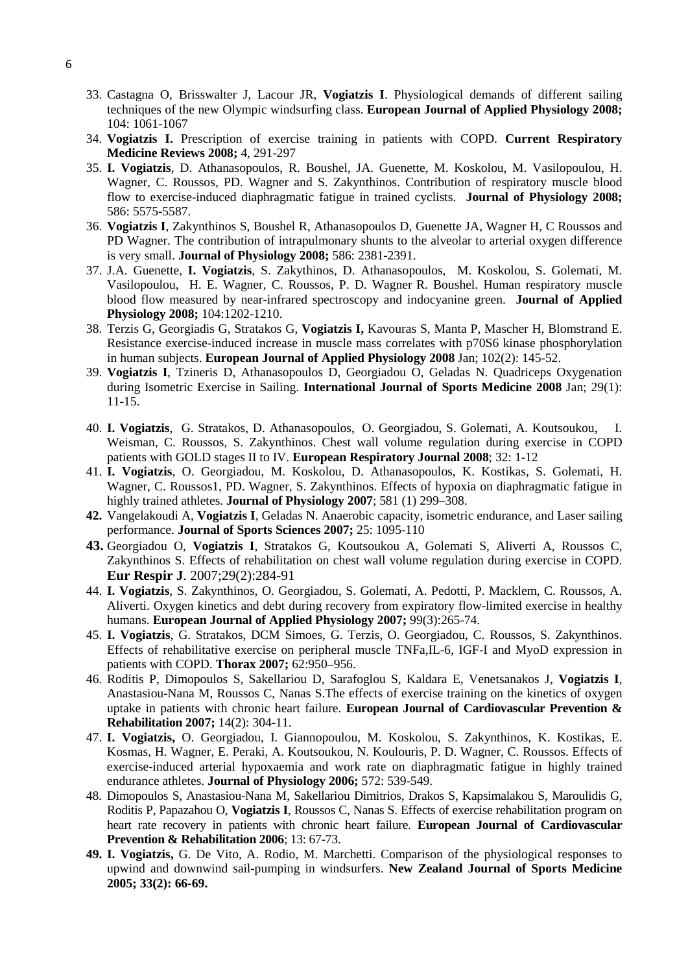- 33. Castagna O, Brisswalter J, Lacour JR, **Vogiatzis I**. Physiological demands of different sailing techniques of the new Olympic windsurfing class. **European Journal of Applied Physiology 2008;** 104: 1061-1067
- 34. **Vogiatzis I.** Prescription of exercise training in patients with COPD. **Current Respiratory Medicine Reviews 2008;** 4, 291-297
- 35. **I. Vogiatzis**, D. Athanasopoulos, R. Boushel, JA. Guenette, M. Koskolou, M. Vasilopoulou, H. Wagner, C. Roussos, PD. Wagner and S. Zakynthinos. Contribution of respiratory muscle blood flow to exercise-induced diaphragmatic fatigue in trained cyclists. **Journal of Physiology 2008;** 586: 5575-5587.
- 36. **Vogiatzis I**, Zakynthinos S, Boushel R, Athanasopoulos D, Guenette JA, Wagner H, C Roussos and PD Wagner. The contribution of intrapulmonary shunts to the alveolar to arterial oxygen difference is very small. **Journal of Physiology 2008;** 586: 2381-2391.
- 37. J.A. Guenette, **I. Vogiatzis**, S. Zakythinos, D. Athanasopoulos, M. Koskolou, S. Golemati, M. Vasilopoulou, H. E. Wagner, C. Roussos, P. D. Wagner R. Boushel. Human respiratory muscle blood flow measured by near-infrared spectroscopy and indocyanine green. **Journal of Applied Physiology 2008;** 104:1202-1210.
- 38. Terzis G, Georgiadis G, Stratakos G, **Vogiatzis I,** [Kavouras S, Manta P, Mascher H, Blomstrand E.](http://www.ncbi.nlm.nih.gov/pubmed/17874120?ordinalpos=1&itool=EntrezSystem2.PEntrez.Pubmed.Pubmed_ResultsPanel.Pubmed_RVDocSum) Resistance exercise-induced increase in muscle mass correlates with p70S6 kinase phosphorylation in human subjects. **European Journal of Applied Physiology 2008** Jan; 102(2): 145-52.
- 39. **Vogiatzis I**[, Tzineris D, Athanasopoulos D, Georgiadou O, Geladas N.](http://www.ncbi.nlm.nih.gov/pubmed/17614020?ordinalpos=3&itool=EntrezSystem2.PEntrez.Pubmed.Pubmed_ResultsPanel.Pubmed_RVDocSum) Quadriceps Oxygenation during Isometric Exercise in Sailing. **International Journal of Sports Medicine 2008** Jan; 29(1): 11-15.
- 40. **I. Vogiatzis**, G. Stratakos, D. Athanasopoulos, O. Georgiadou, S. Golemati, A. Koutsoukou, I. Weisman, C. Roussos, S. Zakynthinos. Chest wall volume regulation during exercise in COPD patients with GOLD stages II to IV. **European Respiratory Journal 2008**; 32: 1-12
- 41. **I. Vogiatzis**, O. Georgiadou, M. Koskolou, D. Athanasopoulos, K. Kostikas, S. Golemati, H. Wagner, C. Roussos1, PD. Wagner, S. Zakynthinos. Effects of hypoxia on diaphragmatic fatigue in highly trained athletes. **Journal of Physiology 2007**; 581 (1) 299–308.
- **42.** Vangelakoudi A, **Vogiatzis I**, Geladas N. Anaerobic capacity, isometric endurance, and Laser sailing performance. **Journal of Sports Sciences 2007;** 25: 1095-110
- **43.** Georgiadou O, **Vogiatzis I**, Stratakos G, Koutsoukou A, Golemati S, Aliverti A, Roussos C, Zakynthinos S. Effects of rehabilitation on chest wall volume regulation during exercise in COPD. **Eur Respir J**. 2007;29(2):284-91
- 44. **I. Vogiatzis**, S. Zakynthinos, O. Georgiadou, S. Golemati, A. Pedotti, P. Macklem, C. Roussos, A. Aliverti. Oxygen kinetics and debt during recovery from expiratory flow-limited exercise in healthy humans. **European Journal of Applied Physiology 2007;** 99(3):265-74.
- 45. **I. Vogiatzis**, G. Stratakos, DCM Simoes, G. Terzis, O. Georgiadou, C. Roussos, S. Zakynthinos. Effects of rehabilitative exercise on peripheral muscle TNFa,IL-6, IGF-I and MyoD expression in patients with COPD. **Thorax 2007;** 62:950–956.
- 46. [Roditis P, Dimopoulos S, Sakellariou D, Sarafoglou S, Kaldara E, Venetsanakos J,](http://www.ncbi.nlm.nih.gov/pubmed/17446812?ordinalpos=9&itool=EntrezSystem2.PEntrez.Pubmed.Pubmed_ResultsPanel.Pubmed_RVDocSum) **Vogiatzis I**, [Anastasiou-Nana M, Roussos C, Nanas S.T](http://www.ncbi.nlm.nih.gov/pubmed/17446812?ordinalpos=9&itool=EntrezSystem2.PEntrez.Pubmed.Pubmed_ResultsPanel.Pubmed_RVDocSum)he effects of exercise training on the kinetics of oxygen uptake in patients with chronic heart failure. **European Journal of Cardiovascular Prevention & Rehabilitation 2007;** 14(2): 304-11.
- 47. **I. Vogiatzis,** O. Georgiadou, I. Giannopoulou, M. Koskolou, S. Zakynthinos, K. Kostikas, E. Kosmas, H. Wagner, E. Peraki, A. Koutsoukou, N. Koulouris, P. D. Wagner, C. Roussos. Effects of exercise-induced arterial hypoxaemia and work rate on diaphragmatic fatigue in highly trained endurance athletes. **Journal of Physiology 2006;** 572: 539-549.
- 48. Dimopoulos S, Anastasiou-Nana M, Sakellariou Dimitrios, Drakos S, Kapsimalakou S, Maroulidis G, Roditis P, Papazahou O, **Vogiatzis I**, Roussos C, Nanas S. Effects of exercise rehabilitation program on heart rate recovery in patients with chronic heart failure. **European Journal of Cardiovascular Prevention & Rehabilitation 2006**; 13: 67-73.
- **49. I. Vogiatzis,** G. De Vito, A. Rodio, M. Marchetti. Comparison of the physiological responses to upwind and downwind sail-pumping in windsurfers. **New Zealand Journal of Sports Medicine 2005; 33(2): 66-69.**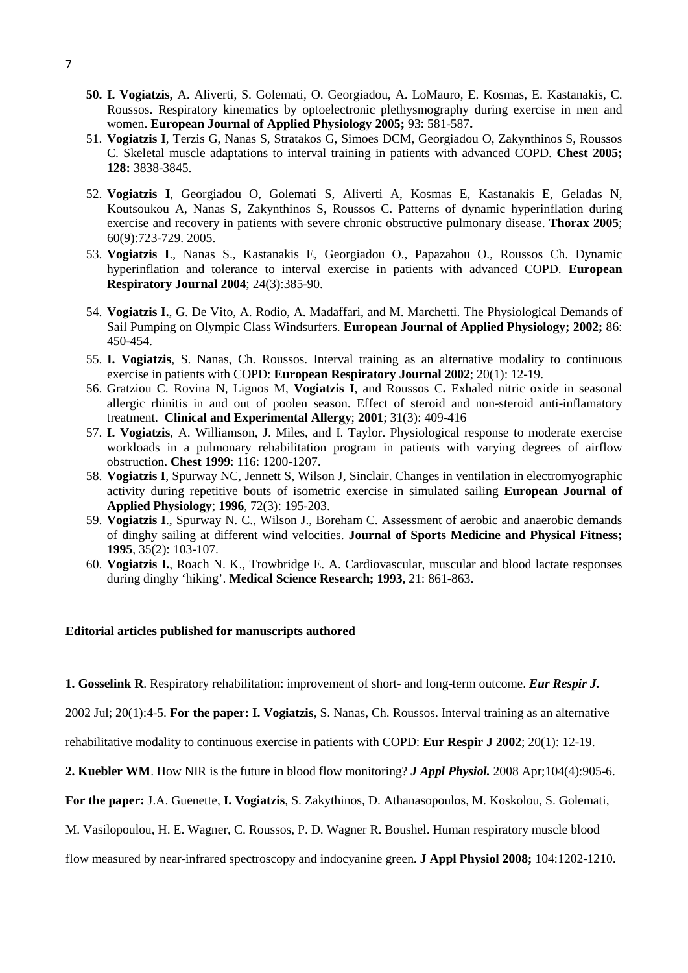- **50. I. Vogiatzis,** A. Aliverti, S. Golemati, O. Georgiadou, A. LoMauro, E. Kosmas, E. Kastanakis, C. Roussos. Respiratory kinematics by optoelectronic plethysmography during exercise in men and women. **European Journal of Applied Physiology 2005;** 93: 581-587**.**
- 51. **Vogiatzis I**, Terzis G, Nanas S, Stratakos G, Simoes DCM, Georgiadou O, Zakynthinos S, Roussos C. Skeletal muscle adaptations to interval training in patients with advanced COPD. **Chest 2005; 128:** 3838-3845.
- 52. **Vogiatzis I**, Georgiadou O, Golemati S, Aliverti A, Kosmas E, Kastanakis E, Geladas N, Koutsoukou A, Nanas S, Zakynthinos S, Roussos C. [Patterns of dynamic hyperinflation during](http://www.ncbi.nlm.nih.gov/pubmed/15964912)  [exercise and recovery in patients with severe chronic obstructive pulmonary disease.](http://www.ncbi.nlm.nih.gov/pubmed/15964912) **Thorax 2005**; 60(9):723-729. 2005.
- 53. **Vogiatzis I**., Nanas S., Kastanakis E, Georgiadou O., Papazahou O., Roussos Ch. Dynamic hyperinflation and tolerance to interval exercise in patients with advanced COPD. **European Respiratory Journal 2004**; 24(3):385-90.
- 54. **Vogiatzis I.**, G. De Vito, A. Rodio, A. Madaffari, and M. Marchetti. The Physiological Demands of Sail Pumping on Olympic Class Windsurfers. **European Journal of Applied Physiology; 2002;** 86: 450-454.
- 55. **I. Vogiatzis**, S. Nanas, Ch. Roussos. Interval training as an alternative modality to continuous exercise in patients with COPD: **European Respiratory Journal 2002**; 20(1): 12-19.
- 56. Gratziou C. Rovina N, Lignos M, **Vogiatzis I**, and Roussos C**.** Exhaled nitric oxide in seasonal allergic rhinitis in and out of poolen season. Effect of steroid and non-steroid anti-inflamatory treatment. **Clinical and Experimental Allergy**; **2001**; 31(3): 409-416
- 57. **I. Vogiatzis**, A. Williamson, J. Miles, and I. Taylor. Physiological response to moderate exercise workloads in a pulmonary rehabilitation program in patients with varying degrees of airflow obstruction. **Chest 1999**: 116: 1200-1207.
- 58. **Vogiatzis I**, Spurway NC, Jennett S, Wilson J, Sinclair. Changes in ventilation in electromyographic activity during repetitive bouts of isometric exercise in simulated sailing **European Journal of Applied Physiology**; **1996**, 72(3): 195-203.
- 59. **Vogiatzis I**., Spurway N. C., Wilson J., Boreham C. Assessment of aerobic and anaerobic demands of dinghy sailing at different wind velocities. **Journal of Sports Medicine and Physical Fitness; 1995**, 35(2): 103-107.
- 60. **Vogiatzis I.**, Roach N. K., Trowbridge E. A. Cardiovascular, muscular and blood lactate responses during dinghy 'hiking'. **Medical Science Research; 1993,** 21: 861-863.

### **Editorial articles published for manuscripts authored**

**1. Gosselink R**. Respiratory rehabilitation: improvement of short- and long-term outcome. *Eur Respir J.* 

2002 Jul; 20(1):4-5. **For the paper: I. Vogiatzis**, S. Nanas, Ch. Roussos. Interval training as an alternative

rehabilitative modality to continuous exercise in patients with COPD: **Eur Respir J 2002**; 20(1): 12-19.

**2. Kuebler WM**. How NIR is the future in blood flow monitoring? *J Appl Physiol.* 2008 Apr;104(4):905-6.

**For the paper:** J.A. Guenette, **I. Vogiatzis**, S. Zakythinos, D. Athanasopoulos, M. Koskolou, S. Golemati,

M. Vasilopoulou, H. E. Wagner, C. Roussos, P. D. Wagner R. Boushel. Human respiratory muscle blood

flow measured by near-infrared spectroscopy and indocyanine green. **J Appl Physiol 2008;** 104:1202-1210.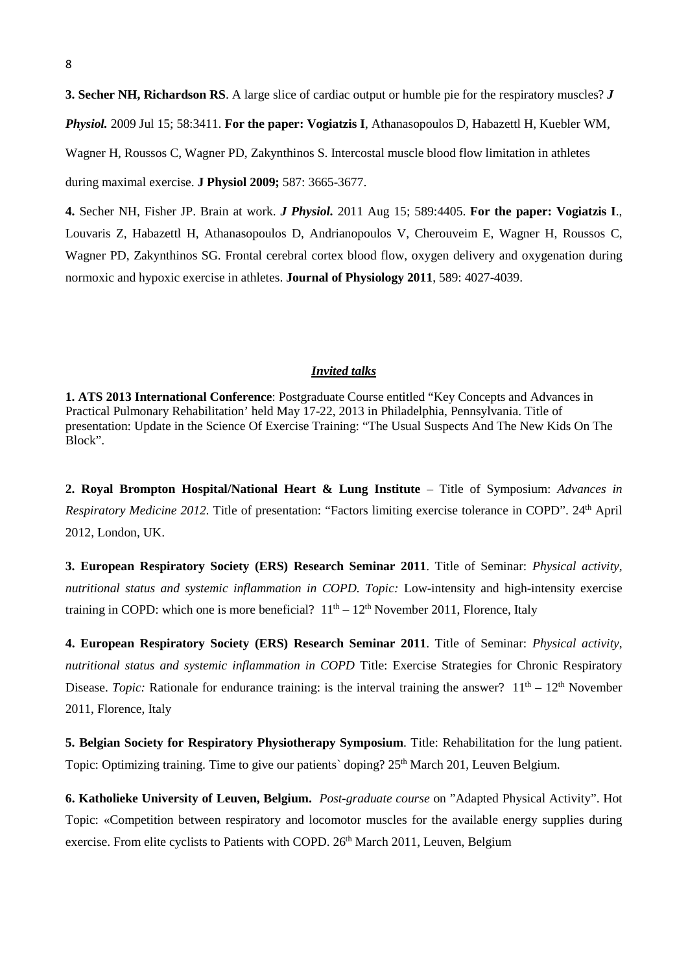**3. Secher NH, Richardson RS**. A large slice of cardiac output or humble pie for the respiratory muscles? *J Physiol.* 2009 Jul 15; 58:3411. **For the paper: Vogiatzis I**, Athanasopoulos D, Habazettl H, Kuebler WM, Wagner H, Roussos C, Wagner PD, Zakynthinos S. Intercostal muscle blood flow limitation in athletes during maximal exercise. **J Physiol 2009;** 587: 3665-3677.

**4.** Secher NH, Fisher JP. Brain at work. *J Physiol.* 2011 Aug 15; 589:4405. **For the paper: [Vogiatzis I](http://www.ncbi.nlm.nih.gov/pubmed?term=%22Vogiatzis%20I%22%5BAuthor%5D)**., [Louvaris Z,](http://www.ncbi.nlm.nih.gov/pubmed?term=%22Louvaris%20Z%22%5BAuthor%5D) [Habazettl H,](http://www.ncbi.nlm.nih.gov/pubmed?term=%22Habazettl%20H%22%5BAuthor%5D) [Athanasopoulos D,](http://www.ncbi.nlm.nih.gov/pubmed?term=%22Athanasopoulos%20D%22%5BAuthor%5D) [Andrianopoulos V,](http://www.ncbi.nlm.nih.gov/pubmed?term=%22Andrianopoulos%20V%22%5BAuthor%5D) [Cherouveim E,](http://www.ncbi.nlm.nih.gov/pubmed?term=%22Cherouveim%20E%22%5BAuthor%5D) [Wagner H,](http://www.ncbi.nlm.nih.gov/pubmed?term=%22Wagner%20H%22%5BAuthor%5D) [Roussos C,](http://www.ncbi.nlm.nih.gov/pubmed?term=%22Roussos%20C%22%5BAuthor%5D) [Wagner PD,](http://www.ncbi.nlm.nih.gov/pubmed?term=%22Wagner%20PD%22%5BAuthor%5D) [Zakynthinos SG.](http://www.ncbi.nlm.nih.gov/pubmed?term=%22Zakynthinos%20SG%22%5BAuthor%5D) Frontal cerebral cortex blood flow, oxygen delivery and oxygenation during normoxic and hypoxic exercise in athletes. **Journal of Physiology 2011**, 589: 4027-4039.

#### *Invited talks*

**1. ATS 2013 International Conference**: Postgraduate Course entitled "Key Concepts and Advances in Practical Pulmonary Rehabilitation' held May 17-22, 2013 in Philadelphia, Pennsylvania. Title of presentation: Update in the Science Of Exercise Training: "The Usual Suspects And The New Kids On The Block".

**2. Royal Brompton Hospital/National Heart & Lung Institute** – Title of Symposium: *Advances in Respiratory Medicine 2012.* Title of presentation: "Factors limiting exercise tolerance in COPD". 24<sup>th</sup> April 2012, London, UK.

**3. European Respiratory Society (ERS) Research Seminar 2011**. Title of Seminar: *Physical activity, nutritional status and systemic inflammation in COPD. Topic:* Low-intensity and high-intensity exercise training in COPD: which one is more beneficial?  $11<sup>th</sup> - 12<sup>th</sup>$  November 2011, Florence, Italy

**4. European Respiratory Society (ERS) Research Seminar 2011**. Title of Seminar: *Physical activity, nutritional status and systemic inflammation in COPD* Title: Exercise Strategies for Chronic Respiratory Disease. *Topic:* Rationale for endurance training: is the interval training the answer?  $11<sup>th</sup> - 12<sup>th</sup>$  November 2011, Florence, Italy

**5. Belgian Society for Respiratory Physiotherapy Symposium**. Title: Rehabilitation for the lung patient. Topic: Optimizing training. Time to give our patients' doping?  $25<sup>th</sup>$  March 201, Leuven Belgium.

**6. Katholieke University of Leuven, Belgium.** *Post-graduate course* on "Adapted Physical Activity". Hot Topic: «Competition between respiratory and locomotor muscles for the available energy supplies during exercise. From elite cyclists to Patients with COPD. 26<sup>th</sup> March 2011, Leuven, Belgium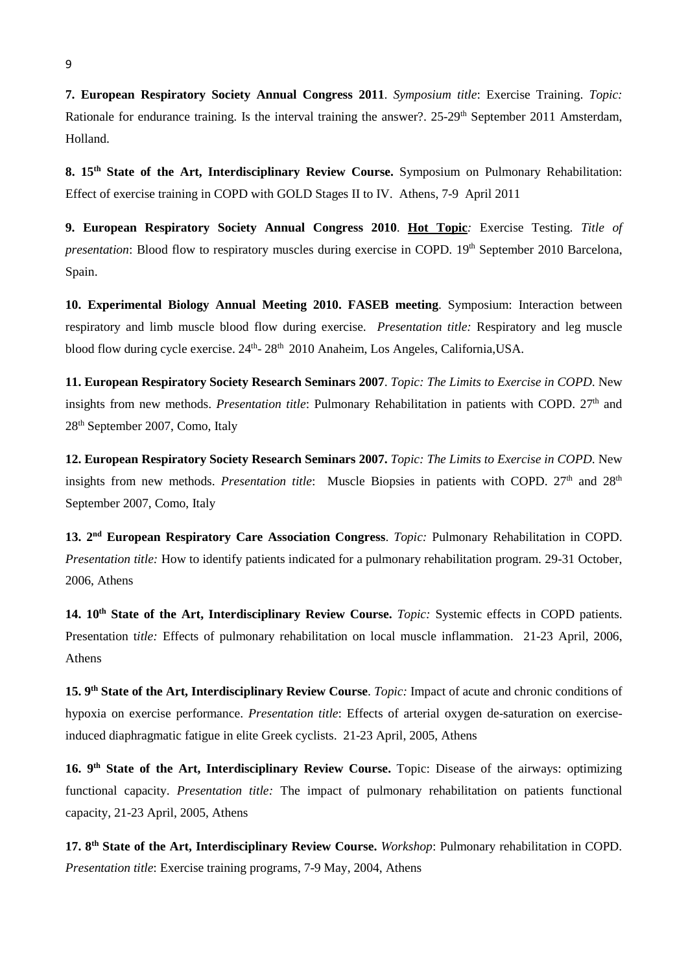**7. European Respiratory Society Annual Congress 2011**. *Symposium title*: Exercise Training. *Topic:* Rationale for endurance training. Is the interval training the answer?. 25-29<sup>th</sup> September 2011 Amsterdam, Holland.

**8. 15th State of the Art, Interdisciplinary Review Course.** Symposium on Pulmonary Rehabilitation: Effect of exercise training in COPD with GOLD Stages II to IV. Athens, 7-9 April 2011

**9. European Respiratory Society Annual Congress 2010**. **Hot Topic***:* Exercise Testing. *Title of presentation*: Blood flow to respiratory muscles during exercise in COPD. 19<sup>th</sup> September 2010 Barcelona, Spain.

**10. Experimental Biology Annual Meeting 2010. FASEB meeting**. Symposium: Interaction between respiratory and limb muscle blood flow during exercise. *Presentation title:* Respiratory and leg muscle blood flow during cycle exercise,  $24<sup>th</sup> - 28<sup>th</sup>$  2010 Anaheim, Los Angeles, California, USA.

**11. European Respiratory Society Research Seminars 2007**. *Topic: The Limits to Exercise in COPD*. New insights from new methods. *Presentation title*: Pulmonary Rehabilitation in patients with COPD. 27<sup>th</sup> and 28th September 2007, Como, Italy

**12. European Respiratory Society Research Seminars 2007.** *Topic: The Limits to Exercise in COPD*. New insights from new methods. *Presentation title*: Muscle Biopsies in patients with COPD. 27<sup>th</sup> and 28<sup>th</sup> September 2007, Como, Italy

**13. 2nd European Respiratory Care Association Congress**. *Topic:* Pulmonary Rehabilitation in COPD. *Presentation title:* How to identify patients indicated for a pulmonary rehabilitation program. 29-31 October, 2006, Athens

**14. 10th State of the Art, Interdisciplinary Review Course.** *Topic:* Systemic effects in COPD patients. Presentation t*itle:* Effects of pulmonary rehabilitation on local muscle inflammation. 21-23 April, 2006, Athens

**15. 9th State of the Art, Interdisciplinary Review Course**. *Topic:* Impact of acute and chronic conditions of hypoxia on exercise performance. *Presentation title*: Effects of arterial oxygen de-saturation on exerciseinduced diaphragmatic fatigue in elite Greek cyclists. 21-23 April, 2005, Athens

**16. 9th State of the Art, Interdisciplinary Review Course.** Topic: Disease of the airways: optimizing functional capacity. *Presentation title:* The impact of pulmonary rehabilitation on patients functional capacity, 21-23 April, 2005, Athens

**17. 8th State of the Art, Interdisciplinary Review Course.** *Workshop*: Pulmonary rehabilitation in COPD. *Presentation title*: Exercise training programs, 7-9 May, 2004, Athens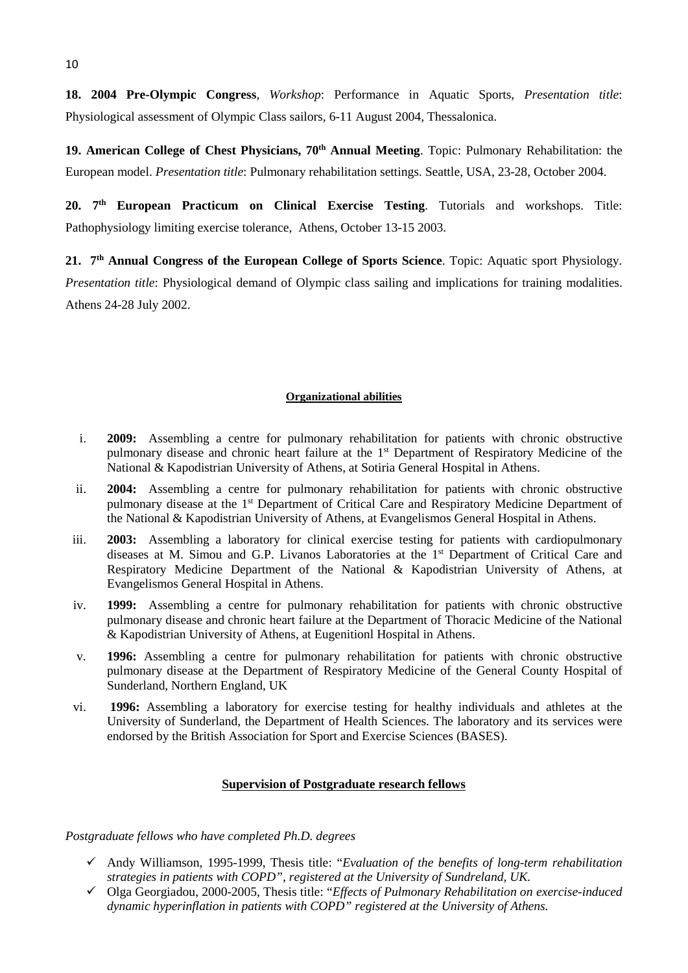**18. 2004 Pre-Olympic Congress**, *Workshop*: Performance in Aquatic Sports, *Presentation title*: Physiological assessment of Olympic Class sailors, 6-11 August 2004, Thessalonica.

**19. American College of Chest Physicians, 70th Annual Meeting**. Topic: Pulmonary Rehabilitation: the European model. *Presentation title*: Pulmonary rehabilitation settings. Seattle, USA, 23-28, October 2004.

**20. 7th European Practicum on Clinical Exercise Testing**. Tutorials and workshops. Title: Pathophysiology limiting exercise tolerance, Athens, October 13-15 2003.

**21. 7th Annual Congress of the European College of Sports Science**. Topic: Aquatic sport Physiology. *Presentation title*: Physiological demand of Olympic class sailing and implications for training modalities. Athens 24-28 July 2002.

## **Organizational abilities**

- i. **2009:** Assembling a centre for pulmonary rehabilitation for patients with chronic obstructive pulmonary disease and chronic heart failure at the 1<sup>st</sup> Department of Respiratory Medicine of the National & Kapodistrian University of Athens, at Sotiria General Hospital in Athens.
- ii. **2004:** Assembling a centre for pulmonary rehabilitation for patients with chronic obstructive pulmonary disease at the 1<sup>st</sup> Department of Critical Care and Respiratory Medicine Department of the National & Kapodistrian University of Athens, at Evangelismos General Hospital in Athens.
- iii. **2003:** Assembling a laboratory for clinical exercise testing for patients with cardiopulmonary diseases at M. Simou and G.P. Livanos Laboratories at the 1st Department of Critical Care and Respiratory Medicine Department of the National & Kapodistrian University of Athens, at Evangelismos General Hospital in Athens.
- iv. **1999:** Assembling a centre for pulmonary rehabilitation for patients with chronic obstructive pulmonary disease and chronic heart failure at the Department of Thoracic Medicine of the National & Kapodistrian University of Athens, at Eugenitionl Hospital in Athens.
- v. **1996:** Assembling a centre for pulmonary rehabilitation for patients with chronic obstructive pulmonary disease at the Department of Respiratory Medicine of the General County Hospital of Sunderland, Northern England, UK
- vi. **1996:** Assembling a laboratory for exercise testing for healthy individuals and athletes at the University of Sunderland, the Department of Health Sciences. The laboratory and its services were endorsed by the British Association for Sport and Exercise Sciences (BASES).

# **Supervision of Postgraduate research fellows**

*Postgraduate fellows who have completed Ph.D. degrees* 

- Andy Williamson, 1995-1999, Thesis title: "*Evaluation of the benefits of long-term rehabilitation strategies in patients with COPD", registered at the University of Sundreland, UK.*
- Olga Georgiadou, 2000-2005, Thesis title: "*Effects of Pulmonary Rehabilitation on exercise-induced dynamic hyperinflation in patients with COPD" registered at the University of Athens.*